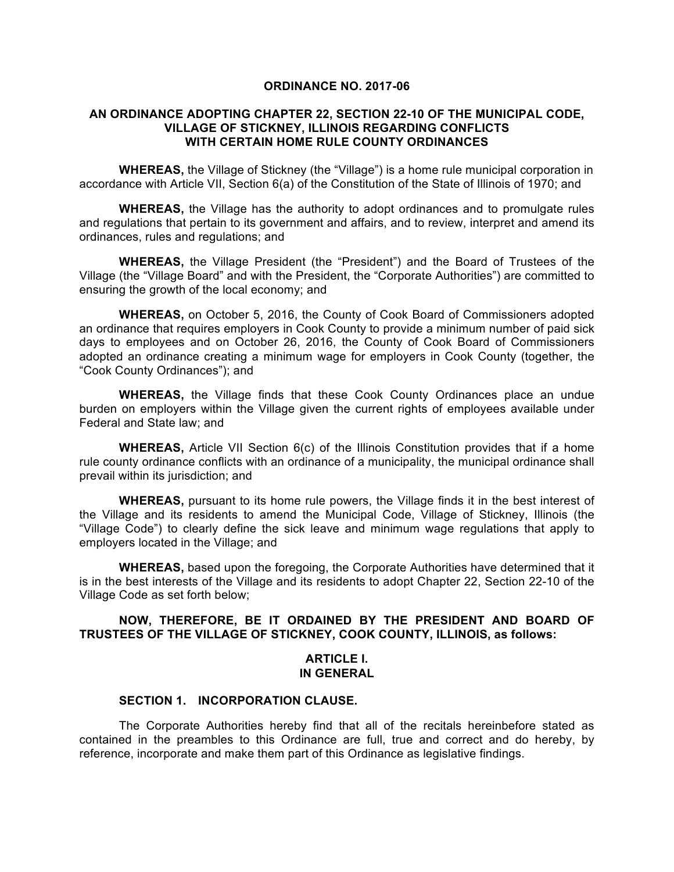#### **ORDINANCE NO. 2017-06**

# **AN ORDINANCE ADOPTING CHAPTER 22, SECTION 22-10 OF THE MUNICIPAL CODE, VILLAGE OF STICKNEY, ILLINOIS REGARDING CONFLICTS WITH CERTAIN HOME RULE COUNTY ORDINANCES**

**WHEREAS,** the Village of Stickney (the "Village") is a home rule municipal corporation in accordance with Article VII, Section 6(a) of the Constitution of the State of Illinois of 1970; and

**WHEREAS,** the Village has the authority to adopt ordinances and to promulgate rules and regulations that pertain to its government and affairs, and to review, interpret and amend its ordinances, rules and regulations; and

**WHEREAS,** the Village President (the "President") and the Board of Trustees of the Village (the "Village Board" and with the President, the "Corporate Authorities") are committed to ensuring the growth of the local economy; and

**WHEREAS,** on October 5, 2016, the County of Cook Board of Commissioners adopted an ordinance that requires employers in Cook County to provide a minimum number of paid sick days to employees and on October 26, 2016, the County of Cook Board of Commissioners adopted an ordinance creating a minimum wage for employers in Cook County (together, the "Cook County Ordinances"); and

**WHEREAS,** the Village finds that these Cook County Ordinances place an undue burden on employers within the Village given the current rights of employees available under Federal and State law; and

**WHEREAS,** Article VII Section 6(c) of the Illinois Constitution provides that if a home rule county ordinance conflicts with an ordinance of a municipality, the municipal ordinance shall prevail within its jurisdiction; and

**WHEREAS,** pursuant to its home rule powers, the Village finds it in the best interest of the Village and its residents to amend the Municipal Code, Village of Stickney, Illinois (the "Village Code") to clearly define the sick leave and minimum wage regulations that apply to employers located in the Village; and

**WHEREAS,** based upon the foregoing, the Corporate Authorities have determined that it is in the best interests of the Village and its residents to adopt Chapter 22, Section 22-10 of the Village Code as set forth below;

# **NOW, THEREFORE, BE IT ORDAINED BY THE PRESIDENT AND BOARD OF TRUSTEES OF THE VILLAGE OF STICKNEY, COOK COUNTY, ILLINOIS, as follows:**

# **ARTICLE I. IN GENERAL**

#### **SECTION 1. INCORPORATION CLAUSE.**

The Corporate Authorities hereby find that all of the recitals hereinbefore stated as contained in the preambles to this Ordinance are full, true and correct and do hereby, by reference, incorporate and make them part of this Ordinance as legislative findings.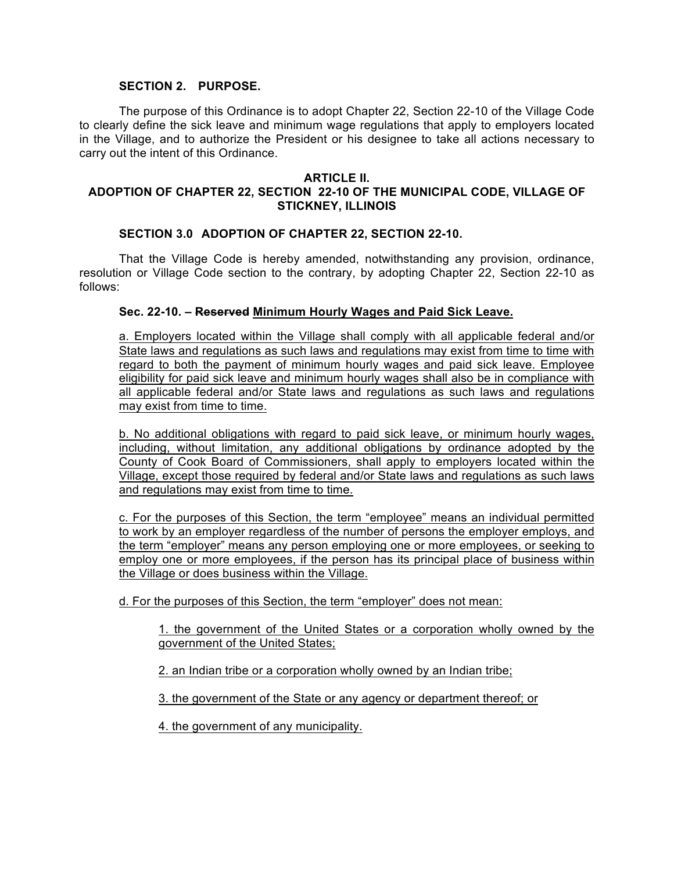# **SECTION 2. PURPOSE.**

The purpose of this Ordinance is to adopt Chapter 22, Section 22-10 of the Village Code to clearly define the sick leave and minimum wage regulations that apply to employers located in the Village, and to authorize the President or his designee to take all actions necessary to carry out the intent of this Ordinance.

#### **ARTICLE II.**

# **ADOPTION OF CHAPTER 22, SECTION 22-10 OF THE MUNICIPAL CODE, VILLAGE OF STICKNEY, ILLINOIS**

#### **SECTION 3.0 ADOPTION OF CHAPTER 22, SECTION 22-10.**

That the Village Code is hereby amended, notwithstanding any provision, ordinance, resolution or Village Code section to the contrary, by adopting Chapter 22, Section 22-10 as follows:

#### **Sec. 22-10. – Reserved Minimum Hourly Wages and Paid Sick Leave.**

a. Employers located within the Village shall comply with all applicable federal and/or State laws and regulations as such laws and regulations may exist from time to time with regard to both the payment of minimum hourly wages and paid sick leave. Employee eligibility for paid sick leave and minimum hourly wages shall also be in compliance with all applicable federal and/or State laws and regulations as such laws and regulations may exist from time to time.

b. No additional obligations with regard to paid sick leave, or minimum hourly wages, including, without limitation, any additional obligations by ordinance adopted by the County of Cook Board of Commissioners, shall apply to employers located within the Village, except those required by federal and/or State laws and regulations as such laws and regulations may exist from time to time.

c. For the purposes of this Section, the term "employee" means an individual permitted to work by an employer regardless of the number of persons the employer employs, and the term "employer" means any person employing one or more employees, or seeking to employ one or more employees, if the person has its principal place of business within the Village or does business within the Village.

d. For the purposes of this Section, the term "employer" does not mean:

1. the government of the United States or a corporation wholly owned by the government of the United States;

2. an Indian tribe or a corporation wholly owned by an Indian tribe;

3. the government of the State or any agency or department thereof; or

4. the government of any municipality.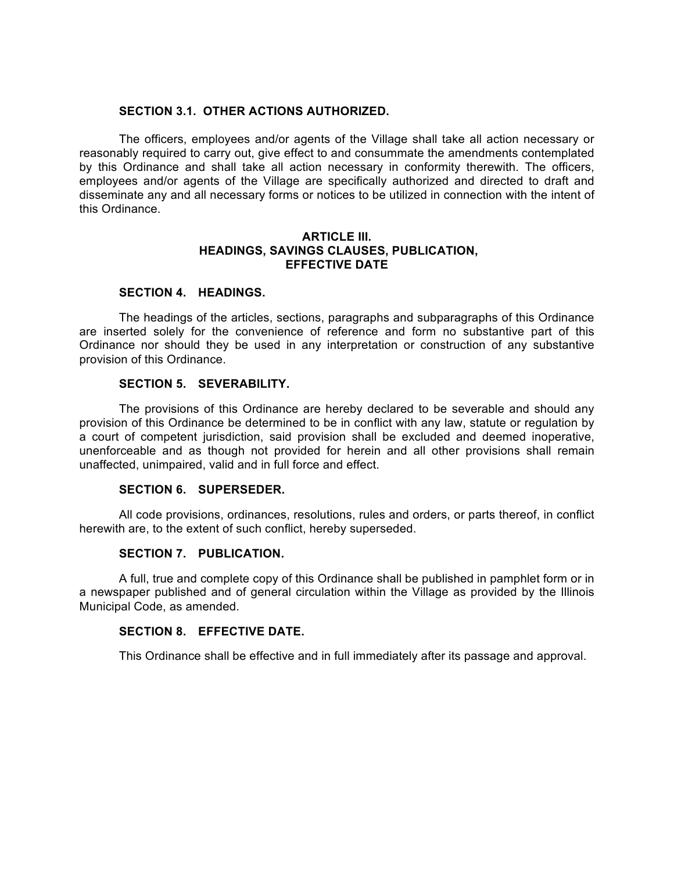### **SECTION 3.1. OTHER ACTIONS AUTHORIZED.**

The officers, employees and/or agents of the Village shall take all action necessary or reasonably required to carry out, give effect to and consummate the amendments contemplated by this Ordinance and shall take all action necessary in conformity therewith. The officers, employees and/or agents of the Village are specifically authorized and directed to draft and disseminate any and all necessary forms or notices to be utilized in connection with the intent of this Ordinance.

#### **ARTICLE III. HEADINGS, SAVINGS CLAUSES, PUBLICATION, EFFECTIVE DATE**

# **SECTION 4. HEADINGS.**

The headings of the articles, sections, paragraphs and subparagraphs of this Ordinance are inserted solely for the convenience of reference and form no substantive part of this Ordinance nor should they be used in any interpretation or construction of any substantive provision of this Ordinance.

#### **SECTION 5. SEVERABILITY.**

The provisions of this Ordinance are hereby declared to be severable and should any provision of this Ordinance be determined to be in conflict with any law, statute or regulation by a court of competent jurisdiction, said provision shall be excluded and deemed inoperative, unenforceable and as though not provided for herein and all other provisions shall remain unaffected, unimpaired, valid and in full force and effect.

### **SECTION 6. SUPERSEDER.**

All code provisions, ordinances, resolutions, rules and orders, or parts thereof, in conflict herewith are, to the extent of such conflict, hereby superseded.

#### **SECTION 7. PUBLICATION.**

A full, true and complete copy of this Ordinance shall be published in pamphlet form or in a newspaper published and of general circulation within the Village as provided by the Illinois Municipal Code, as amended.

#### **SECTION 8. EFFECTIVE DATE.**

This Ordinance shall be effective and in full immediately after its passage and approval.